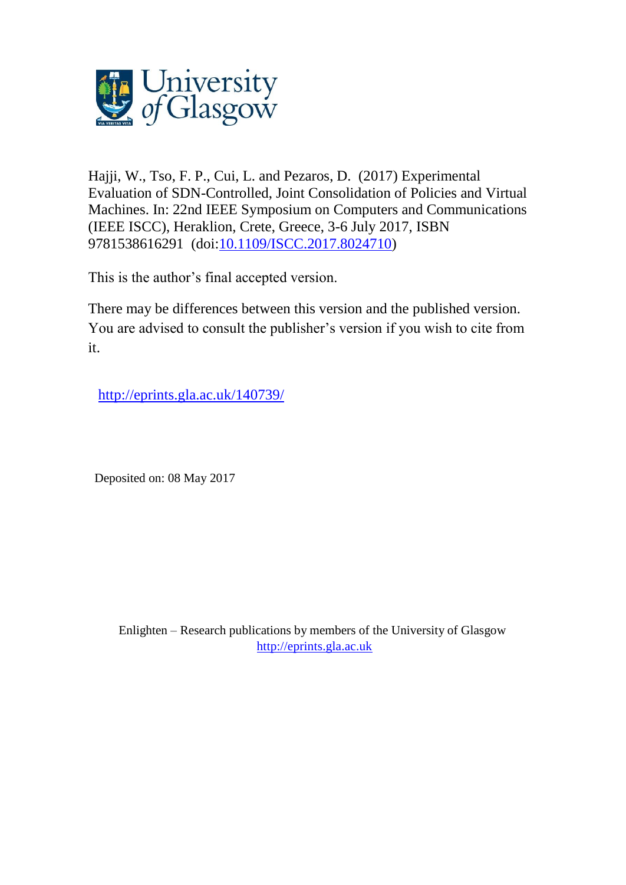

Hajji, W., Tso, F. P., Cui, L. and Pezaros, D. (2017) Experimental Evaluation of SDN-Controlled, Joint Consolidation of Policies and Virtual Machines. In: 22nd IEEE Symposium on Computers and Communications (IEEE ISCC), Heraklion, Crete, Greece, 3-6 July 2017, ISBN 9781538616291 (doi[:10.1109/ISCC.2017.8024710\)](http://dx.doi.org/10.1109/ISCC.2017.8024710)

This is the author's final accepted version.

There may be differences between this version and the published version. You are advised to consult the publisher's version if you wish to cite from it.

<http://eprints.gla.ac.uk/140739/>

Deposited on: 08 May 2017

Enlighten – Research publications by members of the University of Glasgow [http://eprints.gla.ac.uk](http://eprints.gla.ac.uk/)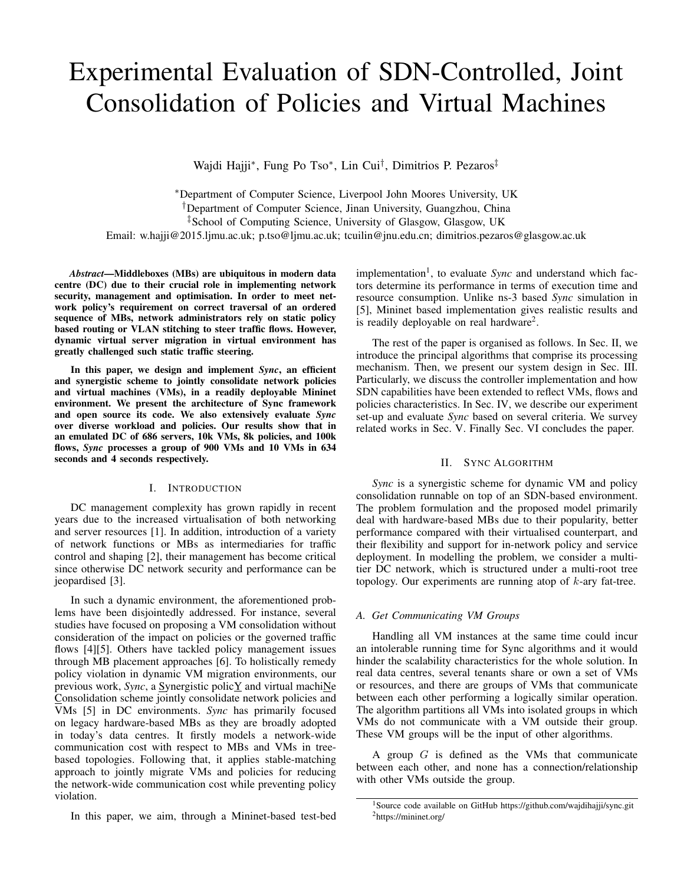# Experimental Evaluation of SDN-Controlled, Joint Consolidation of Policies and Virtual Machines

Wajdi Hajji<sup>∗</sup> , Fung Po Tso<sup>∗</sup> , Lin Cui† , Dimitrios P. Pezaros‡

<sup>∗</sup>Department of Computer Science, Liverpool John Moores University, UK †Department of Computer Science, Jinan University, Guangzhou, China ‡School of Computing Science, University of Glasgow, Glasgow, UK Email: w.hajji@2015.ljmu.ac.uk; p.tso@ljmu.ac.uk; tcuilin@jnu.edu.cn; dimitrios.pezaros@glasgow.ac.uk

*Abstract*—Middleboxes (MBs) are ubiquitous in modern data centre (DC) due to their crucial role in implementing network security, management and optimisation. In order to meet network policy's requirement on correct traversal of an ordered sequence of MBs, network administrators rely on static policy based routing or VLAN stitching to steer traffic flows. However, dynamic virtual server migration in virtual environment has greatly challenged such static traffic steering.

In this paper, we design and implement *Sync*, an efficient and synergistic scheme to jointly consolidate network policies and virtual machines (VMs), in a readily deployable Mininet environment. We present the architecture of Sync framework and open source its code. We also extensively evaluate *Sync* over diverse workload and policies. Our results show that in an emulated DC of 686 servers, 10k VMs, 8k policies, and 100k flows, *Sync* processes a group of 900 VMs and 10 VMs in 634 seconds and 4 seconds respectively.

# I. INTRODUCTION

DC management complexity has grown rapidly in recent years due to the increased virtualisation of both networking and server resources [1]. In addition, introduction of a variety of network functions or MBs as intermediaries for traffic control and shaping [2], their management has become critical since otherwise DC network security and performance can be jeopardised [3].

In such a dynamic environment, the aforementioned problems have been disjointedly addressed. For instance, several studies have focused on proposing a VM consolidation without consideration of the impact on policies or the governed traffic flows [4][5]. Others have tackled policy management issues through MB placement approaches [6]. To holistically remedy policy violation in dynamic VM migration environments, our previous work, *Sync*, a *Synergistic polic* $\underline{Y}$  and virtual machiNe Consolidation scheme jointly consolidate network policies and VMs [5] in DC environments. *Sync* has primarily focused on legacy hardware-based MBs as they are broadly adopted in today's data centres. It firstly models a network-wide communication cost with respect to MBs and VMs in treebased topologies. Following that, it applies stable-matching approach to jointly migrate VMs and policies for reducing the network-wide communication cost while preventing policy violation.

In this paper, we aim, through a Mininet-based test-bed

implementation<sup>1</sup>, to evaluate *Sync* and understand which factors determine its performance in terms of execution time and resource consumption. Unlike ns-3 based *Sync* simulation in [5], Mininet based implementation gives realistic results and is readily deployable on real hardware<sup>2</sup>.

The rest of the paper is organised as follows. In Sec. II, we introduce the principal algorithms that comprise its processing mechanism. Then, we present our system design in Sec. III. Particularly, we discuss the controller implementation and how SDN capabilities have been extended to reflect VMs, flows and policies characteristics. In Sec. IV, we describe our experiment set-up and evaluate *Sync* based on several criteria. We survey related works in Sec. V. Finally Sec. VI concludes the paper.

#### II. SYNC ALGORITHM

*Sync* is a synergistic scheme for dynamic VM and policy consolidation runnable on top of an SDN-based environment. The problem formulation and the proposed model primarily deal with hardware-based MBs due to their popularity, better performance compared with their virtualised counterpart, and their flexibility and support for in-network policy and service deployment. In modelling the problem, we consider a multitier DC network, which is structured under a multi-root tree topology. Our experiments are running atop of k-ary fat-tree.

## *A. Get Communicating VM Groups*

Handling all VM instances at the same time could incur an intolerable running time for Sync algorithms and it would hinder the scalability characteristics for the whole solution. In real data centres, several tenants share or own a set of VMs or resources, and there are groups of VMs that communicate between each other performing a logically similar operation. The algorithm partitions all VMs into isolated groups in which VMs do not communicate with a VM outside their group. These VM groups will be the input of other algorithms.

A group  $G$  is defined as the VMs that communicate between each other, and none has a connection/relationship with other VMs outside the group.

<sup>&</sup>lt;sup>1</sup>Source code available on GitHub https://github.com/wajdihajji/sync.git <sup>2</sup>https://mininet.org/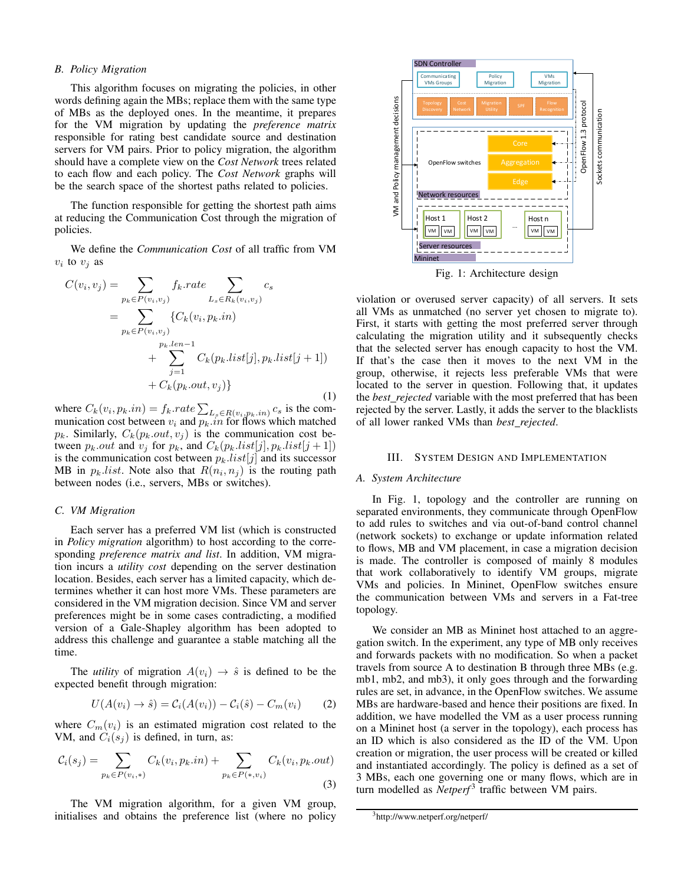#### *B. Policy Migration*

This algorithm focuses on migrating the policies, in other words defining again the MBs; replace them with the same type of MBs as the deployed ones. In the meantime, it prepares for the VM migration by updating the *preference matrix* responsible for rating best candidate source and destination servers for VM pairs. Prior to policy migration, the algorithm should have a complete view on the *Cost Network* trees related to each flow and each policy. The *Cost Network* graphs will be the search space of the shortest paths related to policies.

The function responsible for getting the shortest path aims at reducing the Communication Cost through the migration of policies.

We define the *Communication Cost* of all traffic from VM  $v_i$  to  $v_j$  as

$$
C(v_i, v_j) = \sum_{p_k \in P(v_i, v_j)} f_k rate \sum_{L_s \in R_k(v_i, v_j)} c_s
$$
  
= 
$$
\sum_{p_k \in P(v_i, v_j)} \{C_k(v_i, p_k.in)
$$
  
+ 
$$
\sum_{j=1}^{p_k len - 1} C_k(p_k list[j], p_k list[j+1])
$$
  
+ 
$$
C_k(p_k.out, v_j)\}
$$
 (1)

where  $C_k(v_i, p_k.in) = f_k.rate \sum_{L_s \in R(v_i, p_k.in)} c_s$  is the communication cost between  $v_i$  and  $p_k.in$  for flows which matched  $p_k$ . Similarly,  $C_k(p_k.out, v_j)$  is the communication cost between  $p_k.out$  and  $v_j$  for  $p_k$ , and  $C_k(p_k$ *list* $[j],  $p_k$ *·list*[j + 1])$ is the communication cost between  $p_k list[j]$  and its successor MB in  $p_k$ *list*. Note also that  $R(n_i, n_j)$  is the routing path between nodes (i.e., servers, MBs or switches).

## *C. VM Migration*

Each server has a preferred VM list (which is constructed in *Policy migration* algorithm) to host according to the corresponding *preference matrix and list*. In addition, VM migration incurs a *utility cost* depending on the server destination location. Besides, each server has a limited capacity, which determines whether it can host more VMs. These parameters are considered in the VM migration decision. Since VM and server preferences might be in some cases contradicting, a modified version of a Gale-Shapley algorithm has been adopted to address this challenge and guarantee a stable matching all the time.

The *utility* of migration  $A(v_i) \rightarrow \hat{s}$  is defined to be the expected benefit through migration:

$$
U(A(v_i) \to \hat{s}) = C_i(A(v_i)) - C_i(\hat{s}) - C_m(v_i)
$$
 (2)

where  $C_m(v_i)$  is an estimated migration cost related to the VM, and  $C_i(s_j)$  is defined, in turn, as:

$$
C_i(s_j) = \sum_{p_k \in P(v_i, *)} C_k(v_i, p_k.in) + \sum_{p_k \in P(*, v_i)} C_k(v_i, p_k.out)
$$
\n(3)

The VM migration algorithm, for a given VM group, initialises and obtains the preference list (where no policy



Fig. 1: Architecture design

violation or overused server capacity) of all servers. It sets all VMs as unmatched (no server yet chosen to migrate to). First, it starts with getting the most preferred server through calculating the migration utility and it subsequently checks that the selected server has enough capacity to host the VM. If that's the case then it moves to the next VM in the group, otherwise, it rejects less preferable VMs that were located to the server in question. Following that, it updates the *best rejected* variable with the most preferred that has been rejected by the server. Lastly, it adds the server to the blacklists of all lower ranked VMs than *best rejected*.

#### III. SYSTEM DESIGN AND IMPLEMENTATION

## *A. System Architecture*

In Fig. 1, topology and the controller are running on separated environments, they communicate through OpenFlow to add rules to switches and via out-of-band control channel (network sockets) to exchange or update information related to flows, MB and VM placement, in case a migration decision is made. The controller is composed of mainly 8 modules that work collaboratively to identify VM groups, migrate VMs and policies. In Mininet, OpenFlow switches ensure the communication between VMs and servers in a Fat-tree topology.

We consider an MB as Mininet host attached to an aggregation switch. In the experiment, any type of MB only receives and forwards packets with no modification. So when a packet travels from source A to destination B through three MBs (e.g. mb1, mb2, and mb3), it only goes through and the forwarding rules are set, in advance, in the OpenFlow switches. We assume MBs are hardware-based and hence their positions are fixed. In addition, we have modelled the VM as a user process running on a Mininet host (a server in the topology), each process has an ID which is also considered as the ID of the VM. Upon creation or migration, the user process will be created or killed and instantiated accordingly. The policy is defined as a set of 3 MBs, each one governing one or many flows, which are in turn modelled as *Netperf*<sup>3</sup> traffic between VM pairs.

<sup>3</sup>http://www.netperf.org/netperf/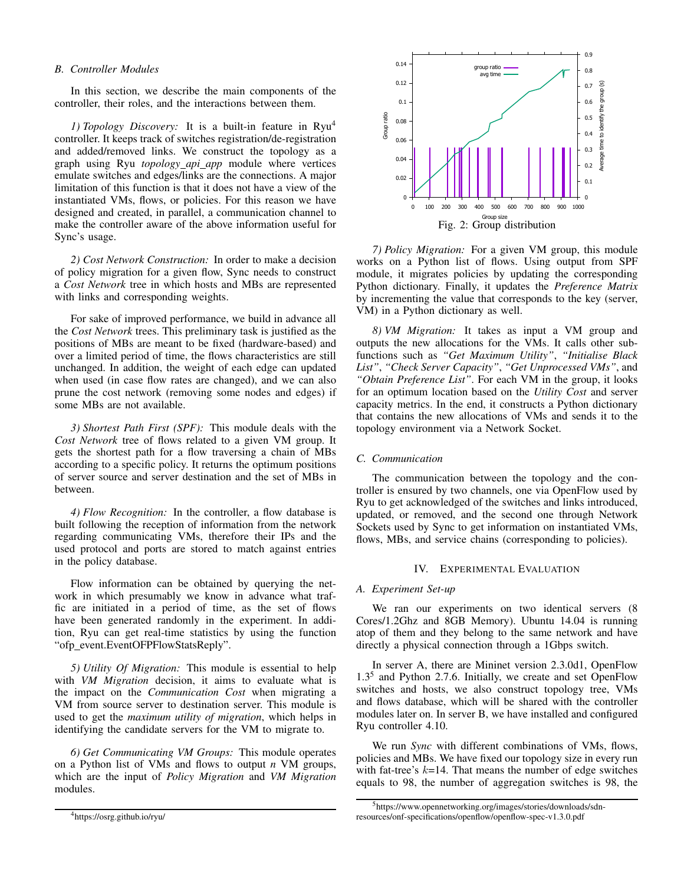# *B. Controller Modules*

In this section, we describe the main components of the controller, their roles, and the interactions between them.

*1) Topology Discovery:* It is a built-in feature in Ryu<sup>4</sup> controller. It keeps track of switches registration/de-registration and added/removed links. We construct the topology as a graph using Ryu *topology api app* module where vertices emulate switches and edges/links are the connections. A major limitation of this function is that it does not have a view of the instantiated VMs, flows, or policies. For this reason we have designed and created, in parallel, a communication channel to make the controller aware of the above information useful for Sync's usage.

*2) Cost Network Construction:* In order to make a decision of policy migration for a given flow, Sync needs to construct a *Cost Network* tree in which hosts and MBs are represented with links and corresponding weights.

For sake of improved performance, we build in advance all the *Cost Network* trees. This preliminary task is justified as the positions of MBs are meant to be fixed (hardware-based) and over a limited period of time, the flows characteristics are still unchanged. In addition, the weight of each edge can updated when used (in case flow rates are changed), and we can also prune the cost network (removing some nodes and edges) if some MBs are not available. antialized VMs, flows, or politics. For this reason we have been controlled with the centroller and centrality of when the centrality of the more centrality of the more centrality of the more of the above information usef

*3) Shortest Path First (SPF):* This module deals with the *Cost Network* tree of flows related to a given VM group. It gets the shortest path for a flow traversing a chain of MBs according to a specific policy. It returns the optimum positions of server source and server destination and the set of MBs in between.

*4) Flow Recognition:* In the controller, a flow database is built following the reception of information from the network regarding communicating VMs, therefore their IPs and the used protocol and ports are stored to match against entries in the policy database.

Flow information can be obtained by querying the network in which presumably we know in advance what traffic are initiated in a period of time, as the set of flows have been generated randomly in the experiment. In addition, Ryu can get real-time statistics by using the function "ofp event.EventOFPFlowStatsReply".

*5) Utility Of Migration:* This module is essential to help with *VM Migration* decision, it aims to evaluate what is the impact on the *Communication Cost* when migrating a VM from source server to destination server. This module is used to get the *maximum utility of migration*, which helps in identifying the candidate servers for the VM to migrate to.

*6) Get Communicating VM Groups:* This module operates on a Python list of VMs and flows to output *n* VM groups, which are the input of *Policy Migration* and *VM Migration* modules.



*7) Policy Migration:* For a given VM group, this module works on a Python list of flows. Using output from SPF module, it migrates policies by updating the corresponding Python dictionary. Finally, it updates the *Preference Matrix* by incrementing the value that corresponds to the key (server, VM) in a Python dictionary as well.

*8) VM Migration:* It takes as input a VM group and outputs the new allocations for the VMs. It calls other subfunctions such as *"Get Maximum Utility"*, *"Initialise Black List"*, *"Check Server Capacity"*, *"Get Unprocessed VMs"*, and *"Obtain Preference List"*. For each VM in the group, it looks for an optimum location based on the *Utility Cost* and server capacity metrics. In the end, it constructs a Python dictionary that contains the new allocations of VMs and sends it to the topology environment via a Network Socket.

# *C. Communication*

The communication between the topology and the controller is ensured by two channels, one via OpenFlow used by Ryu to get acknowledged of the switches and links introduced, updated, or removed, and the second one through Network Sockets used by Sync to get information on instantiated VMs, flows, MBs, and service chains (corresponding to policies).

# IV. EXPERIMENTAL EVALUATION

#### *A. Experiment Set-up*

We ran our experiments on two identical servers (8 Cores/1.2Ghz and 8GB Memory). Ubuntu 14.04 is running atop of them and they belong to the same network and have directly a physical connection through a 1Gbps switch.

In server A, there are Mininet version 2.3.0d1, OpenFlow 1.3<sup>5</sup> and Python 2.7.6. Initially, we create and set OpenFlow switches and hosts, we also construct topology tree, VMs and flows database, which will be shared with the controller modules later on. In server B, we have installed and configured Ryu controller 4.10.

We run *Sync* with different combinations of VMs, flows, policies and MBs. We have fixed our topology size in every run with fat-tree's  $k=14$ . That means the number of edge switches equals to 98, the number of aggregation switches is 98, the

<sup>5</sup>https://www.opennetworking.org/images/stories/downloads/sdnresources/onf-specifications/openflow/openflow-spec-v1.3.0.pdf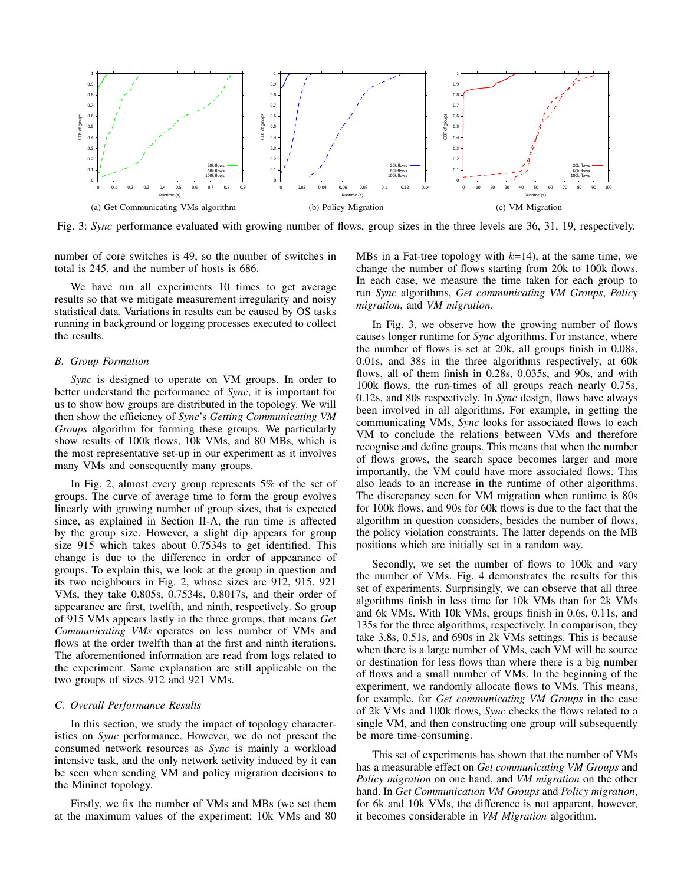

Fig. 3: *Sync* performance evaluated with growing number of flows, group sizes in the three levels are 36, 31, 19, respectively.

number of core switches is 49, so the number of switches in total is 245, and the number of hosts is 686.

We have run all experiments 10 times to get average results so that we mitigate measurement irregularity and noisy statistical data. Variations in results can be caused by OS tasks running in background or logging processes executed to collect the results.

# *B. Group Formation*

*Sync* is designed to operate on VM groups. In order to better understand the performance of *Sync*, it is important for us to show how groups are distributed in the topology. We will then show the efficiency of *Sync*'s *Getting Communicating VM Groups* algorithm for forming these groups. We particularly show results of 100k flows, 10k VMs, and 80 MBs, which is the most representative set-up in our experiment as it involves many VMs and consequently many groups.

In Fig. 2, almost every group represents 5% of the set of groups. The curve of average time to form the group evolves linearly with growing number of group sizes, that is expected since, as explained in Section II-A, the run time is affected by the group size. However, a slight dip appears for group size 915 which takes about 0.7534s to get identified. This change is due to the difference in order of appearance of groups. To explain this, we look at the group in question and its two neighbours in Fig. 2, whose sizes are 912, 915, 921 VMs, they take 0.805s, 0.7534s, 0.8017s, and their order of appearance are first, twelfth, and ninth, respectively. So group of 915 VMs appears lastly in the three groups, that means *Get Communicating VMs* operates on less number of VMs and flows at the order twelfth than at the first and ninth iterations. The aforementioned information are read from logs related to the experiment. Same explanation are still applicable on the two groups of sizes 912 and 921 VMs.

## *C. Overall Performance Results*

In this section, we study the impact of topology characteristics on *Sync* performance. However, we do not present the consumed network resources as *Sync* is mainly a workload intensive task, and the only network activity induced by it can be seen when sending VM and policy migration decisions to the Mininet topology.

Firstly, we fix the number of VMs and MBs (we set them at the maximum values of the experiment; 10k VMs and 80 MBs in a Fat-tree topology with  $k=14$ ), at the same time, we change the number of flows starting from 20k to 100k flows. In each case, we measure the time taken for each group to run *Sync* algorithms, *Get communicating VM Groups*, *Policy migration*, and *VM migration*.

In Fig. 3, we observe how the growing number of flows causes longer runtime for *Sync* algorithms. For instance, where the number of flows is set at 20k, all groups finish in 0.08s, 0.01s, and 38s in the three algorithms respectively, at 60k flows, all of them finish in 0.28s, 0.035s, and 90s, and with 100k flows, the run-times of all groups reach nearly 0.75s, 0.12s, and 80s respectively. In *Sync* design, flows have always been involved in all algorithms. For example, in getting the communicating VMs, *Sync* looks for associated flows to each VM to conclude the relations between VMs and therefore recognise and define groups. This means that when the number of flows grows, the search space becomes larger and more importantly, the VM could have more associated flows. This also leads to an increase in the runtime of other algorithms. The discrepancy seen for VM migration when runtime is 80s for 100k flows, and 90s for 60k flows is due to the fact that the algorithm in question considers, besides the number of flows, the policy violation constraints. The latter depends on the MB positions which are initially set in a random way.

Secondly, we set the number of flows to 100k and vary the number of VMs. Fig. 4 demonstrates the results for this set of experiments. Surprisingly, we can observe that all three algorithms finish in less time for 10k VMs than for 2k VMs and 6k VMs. With 10k VMs, groups finish in 0.6s, 0.11s, and 135s for the three algorithms, respectively. In comparison, they take 3.8s, 0.51s, and 690s in 2k VMs settings. This is because when there is a large number of VMs, each VM will be source or destination for less flows than where there is a big number of flows and a small number of VMs. In the beginning of the experiment, we randomly allocate flows to VMs. This means, for example, for *Get communicating VM Groups* in the case of 2k VMs and 100k flows, *Sync* checks the flows related to a single VM, and then constructing one group will subsequently be more time-consuming.

This set of experiments has shown that the number of VMs has a measurable effect on *Get communicating VM Groups* and *Policy migration* on one hand, and *VM migration* on the other hand. In *Get Communication VM Groups* and *Policy migration*, for 6k and 10k VMs, the difference is not apparent, however, it becomes considerable in *VM Migration* algorithm.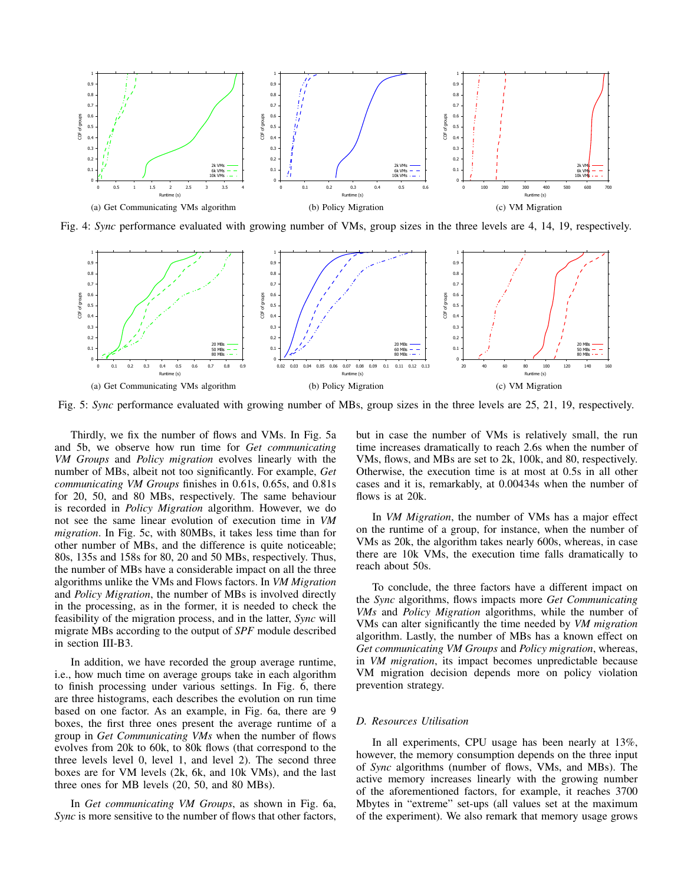

Fig. 4: *Sync* performance evaluated with growing number of VMs, group sizes in the three levels are 4, 14, 19, respectively.



Fig. 5: *Sync* performance evaluated with growing number of MBs, group sizes in the three levels are 25, 21, 19, respectively.

Thirdly, we fix the number of flows and VMs. In Fig. 5a and 5b, we observe how run time for *Get communicating VM Groups* and *Policy migration* evolves linearly with the number of MBs, albeit not too significantly. For example, *Get communicating VM Groups* finishes in 0.61s, 0.65s, and 0.81s for 20, 50, and 80 MBs, respectively. The same behaviour is recorded in *Policy Migration* algorithm. However, we do not see the same linear evolution of execution time in *VM migration*. In Fig. 5c, with 80MBs, it takes less time than for other number of MBs, and the difference is quite noticeable; 80s, 135s and 158s for 80, 20 and 50 MBs, respectively. Thus, the number of MBs have a considerable impact on all the three algorithms unlike the VMs and Flows factors. In *VM Migration* and *Policy Migration*, the number of MBs is involved directly in the processing, as in the former, it is needed to check the feasibility of the migration process, and in the latter, *Sync* will migrate MBs according to the output of *SPF* module described in section III-B3.

In addition, we have recorded the group average runtime, i.e., how much time on average groups take in each algorithm to finish processing under various settings. In Fig. 6, there are three histograms, each describes the evolution on run time based on one factor. As an example, in Fig. 6a, there are 9 boxes, the first three ones present the average runtime of a group in *Get Communicating VMs* when the number of flows evolves from 20k to 60k, to 80k flows (that correspond to the three levels level 0, level 1, and level 2). The second three boxes are for VM levels (2k, 6k, and 10k VMs), and the last three ones for MB levels (20, 50, and 80 MBs).

In *Get communicating VM Groups*, as shown in Fig. 6a, *Sync* is more sensitive to the number of flows that other factors,

but in case the number of VMs is relatively small, the run time increases dramatically to reach 2.6s when the number of VMs, flows, and MBs are set to 2k, 100k, and 80, respectively. Otherwise, the execution time is at most at 0.5s in all other cases and it is, remarkably, at 0.00434s when the number of flows is at 20k.

In *VM Migration*, the number of VMs has a major effect on the runtime of a group, for instance, when the number of VMs as 20k, the algorithm takes nearly 600s, whereas, in case there are 10k VMs, the execution time falls dramatically to reach about 50s.

To conclude, the three factors have a different impact on the *Sync* algorithms, flows impacts more *Get Communicating VMs* and *Policy Migration* algorithms, while the number of VMs can alter significantly the time needed by *VM migration* algorithm. Lastly, the number of MBs has a known effect on *Get communicating VM Groups* and *Policy migration*, whereas, in *VM migration*, its impact becomes unpredictable because VM migration decision depends more on policy violation prevention strategy.

# *D. Resources Utilisation*

In all experiments, CPU usage has been nearly at 13%, however, the memory consumption depends on the three input of *Sync* algorithms (number of flows, VMs, and MBs). The active memory increases linearly with the growing number of the aforementioned factors, for example, it reaches 3700 Mbytes in "extreme" set-ups (all values set at the maximum of the experiment). We also remark that memory usage grows